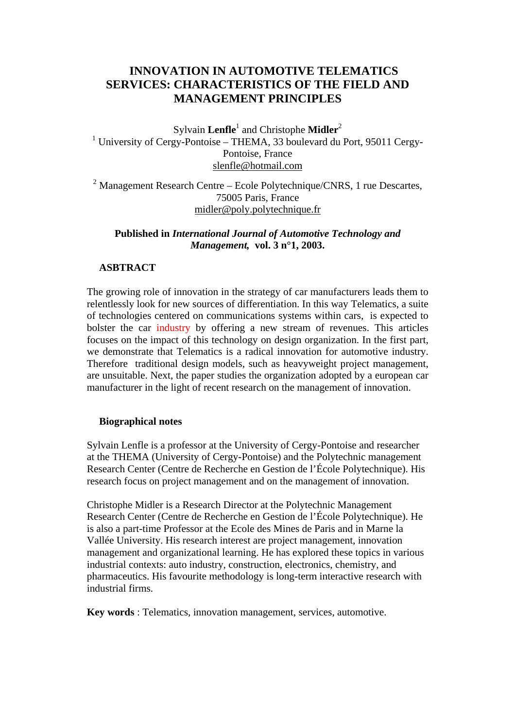# **INNOVATION IN AUTOMOTIVE TELEMATICS SERVICES: CHARACTERISTICS OF THE FIELD AND MANAGEMENT PRINCIPLES**

Sylvain Lenfle<sup>1</sup> and Christophe Midler<sup>2</sup> <sup>1</sup> University of Cergy-Pontoise – THEMA, 33 boulevard du Port, 95011 Cergy-Pontoise, France [slenfle@hotmail.com](mailto:slenfle@hotmail.com)

 $2$  Management Research Centre – Ecole Polytechnique/CNRS, 1 rue Descartes, 75005 Paris, France [midler@poly.polytechnique.fr](mailto:midler@poly.polytechnique.fr)

## **Published in** *International Journal of Automotive Technology and Management,* **vol. 3 n°1, 2003.**

### **ASBTRACT**

The growing role of innovation in the strategy of car manufacturers leads them to relentlessly look for new sources of differentiation. In this way Telematics, a suite of technologies centered on communications systems within cars, is expected to bolster the car industry by offering a new stream of revenues. This articles focuses on the impact of this technology on design organization. In the first part, we demonstrate that Telematics is a radical innovation for automotive industry. Therefore traditional design models, such as heavyweight project management, are unsuitable. Next, the paper studies the organization adopted by a european car manufacturer in the light of recent research on the management of innovation.

#### **Biographical notes**

Sylvain Lenfle is a professor at the University of Cergy-Pontoise and researcher at the THEMA (University of Cergy-Pontoise) and the Polytechnic management Research Center (Centre de Recherche en Gestion de l'École Polytechnique). His research focus on project management and on the management of innovation.

Christophe Midler is a Research Director at the Polytechnic Management Research Center (Centre de Recherche en Gestion de l'École Polytechnique). He is also a part-time Professor at the Ecole des Mines de Paris and in Marne la Vallée University. His research interest are project management, innovation management and organizational learning. He has explored these topics in various industrial contexts: auto industry, construction, electronics, chemistry, and pharmaceutics. His favourite methodology is long-term interactive research with industrial firms.

**Key words** : Telematics, innovation management, services, automotive.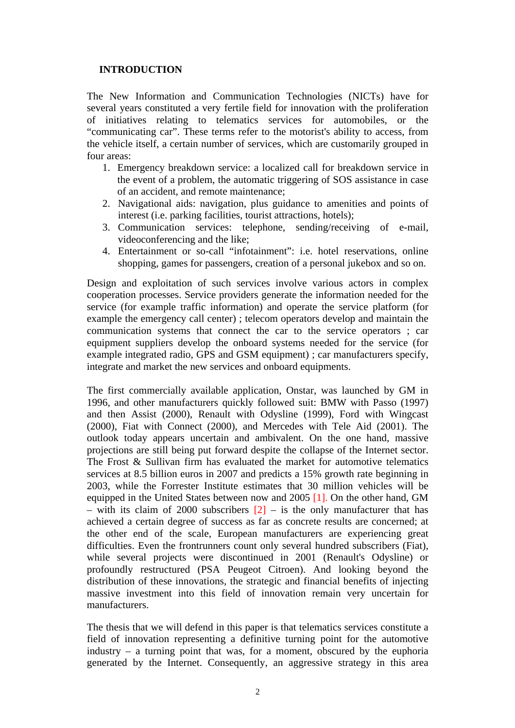### **INTRODUCTION**

The New Information and Communication Technologies (NICTs) have for several years constituted a very fertile field for innovation with the proliferation of initiatives relating to telematics services for automobiles, or the "communicating car". These terms refer to the motorist's ability to access, from the vehicle itself, a certain number of services, which are customarily grouped in four areas:

- 1. Emergency breakdown service: a localized call for breakdown service in the event of a problem, the automatic triggering of SOS assistance in case of an accident, and remote maintenance;
- 2. Navigational aids: navigation, plus guidance to amenities and points of interest (i.e. parking facilities, tourist attractions, hotels);
- 3. Communication services: telephone, sending/receiving of e-mail, videoconferencing and the like;
- 4. Entertainment or so-call "infotainment": i.e. hotel reservations, online shopping, games for passengers, creation of a personal jukebox and so on.

Design and exploitation of such services involve various actors in complex cooperation processes. Service providers generate the information needed for the service (for example traffic information) and operate the service platform (for example the emergency call center) ; telecom operators develop and maintain the communication systems that connect the car to the service operators ; car equipment suppliers develop the onboard systems needed for the service (for example integrated radio, GPS and GSM equipment) ; car manufacturers specify, integrate and market the new services and onboard equipments.

The first commercially available application, Onstar, was launched by GM in 1996, and other manufacturers quickly followed suit: BMW with Passo (1997) and then Assist (2000), Renault with Odysline (1999), Ford with Wingcast (2000), Fiat with Connect (2000), and Mercedes with Tele Aid (2001). The outlook today appears uncertain and ambivalent. On the one hand, massive projections are still being put forward despite the collapse of the Internet sector. The Frost & Sullivan firm has evaluated the market for automotive telematics services at 8.5 billion euros in 2007 and predicts a 15% growth rate beginning in 2003, while the Forrester Institute estimates that 30 million vehicles will be equipped in the United States between now and 2005 [1]. On the other hand, GM – with its claim of 2000 subscribers  $\lfloor 2 \rfloor$  – is the only manufacturer that has achieved a certain degree of success as far as concrete results are concerned; at the other end of the scale, European manufacturers are experiencing great difficulties. Even the frontrunners count only several hundred subscribers (Fiat), while several projects were discontinued in 2001 (Renault's Odysline) or profoundly restructured (PSA Peugeot Citroen). And looking beyond the distribution of these innovations, the strategic and financial benefits of injecting massive investment into this field of innovation remain very uncertain for manufacturers.

The thesis that we will defend in this paper is that telematics services constitute a field of innovation representing a definitive turning point for the automotive industry – a turning point that was, for a moment, obscured by the euphoria generated by the Internet. Consequently, an aggressive strategy in this area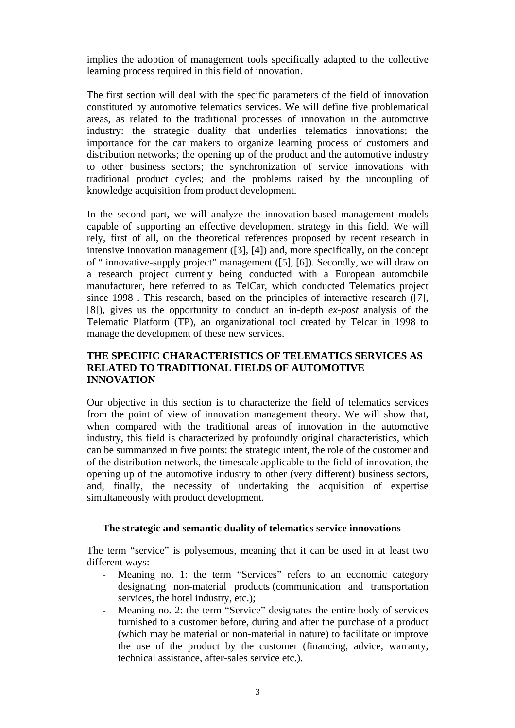implies the adoption of management tools specifically adapted to the collective learning process required in this field of innovation.

The first section will deal with the specific parameters of the field of innovation constituted by automotive telematics services. We will define five problematical areas, as related to the traditional processes of innovation in the automotive industry: the strategic duality that underlies telematics innovations; the importance for the car makers to organize learning process of customers and distribution networks; the opening up of the product and the automotive industry to other business sectors; the synchronization of service innovations with traditional product cycles; and the problems raised by the uncoupling of knowledge acquisition from product development.

In the second part, we will analyze the innovation-based management models capable of supporting an effective development strategy in this field. We will rely, first of all, on the theoretical references proposed by recent research in intensive innovation management ([3], [4]) and, more specifically, on the concept of " innovative-supply project" management ([5], [6]). Secondly, we will draw on a research project currently being conducted with a European automobile manufacturer, here referred to as TelCar, which conducted Telematics project since 1998 . This research, based on the principles of interactive research ([7], [8]), gives us the opportunity to conduct an in-depth *ex-post* analysis of the Telematic Platform (TP), an organizational tool created by Telcar in 1998 to manage the development of these new services.

### **THE SPECIFIC CHARACTERISTICS OF TELEMATICS SERVICES AS RELATED TO TRADITIONAL FIELDS OF AUTOMOTIVE INNOVATION**

Our objective in this section is to characterize the field of telematics services from the point of view of innovation management theory. We will show that, when compared with the traditional areas of innovation in the automotive industry, this field is characterized by profoundly original characteristics, which can be summarized in five points: the strategic intent, the role of the customer and of the distribution network, the timescale applicable to the field of innovation, the opening up of the automotive industry to other (very different) business sectors, and, finally, the necessity of undertaking the acquisition of expertise simultaneously with product development.

## **The strategic and semantic duality of telematics service innovations**

The term "service" is polysemous, meaning that it can be used in at least two different ways:

- Meaning no. 1: the term "Services" refers to an economic category designating non-material products (communication and transportation services, the hotel industry, etc.);
- Meaning no. 2: the term "Service" designates the entire body of services furnished to a customer before, during and after the purchase of a product (which may be material or non-material in nature) to facilitate or improve the use of the product by the customer (financing, advice, warranty, technical assistance, after-sales service etc.).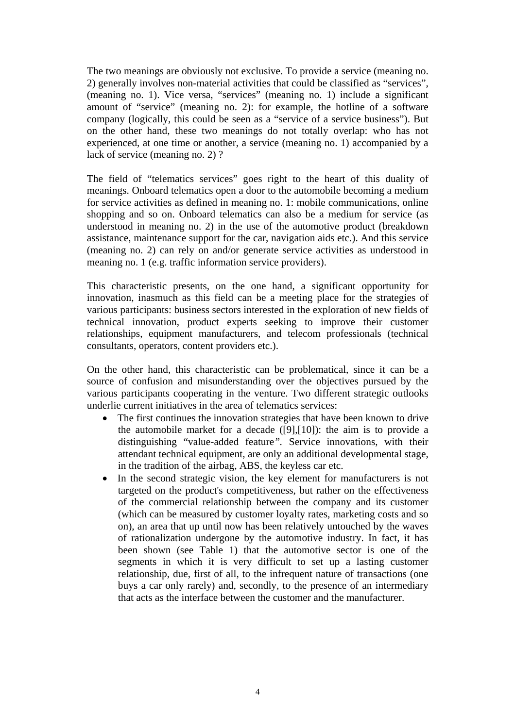The two meanings are obviously not exclusive. To provide a service (meaning no. 2) generally involves non-material activities that could be classified as "services", (meaning no. 1). Vice versa, "services" (meaning no. 1) include a significant amount of "service" (meaning no. 2): for example, the hotline of a software company (logically, this could be seen as a "service of a service business"). But on the other hand, these two meanings do not totally overlap: who has not experienced, at one time or another, a service (meaning no. 1) accompanied by a lack of service (meaning no. 2) ?

The field of "telematics services" goes right to the heart of this duality of meanings. Onboard telematics open a door to the automobile becoming a medium for service activities as defined in meaning no. 1: mobile communications, online shopping and so on. Onboard telematics can also be a medium for service (as understood in meaning no. 2) in the use of the automotive product (breakdown assistance, maintenance support for the car, navigation aids etc.). And this service (meaning no. 2) can rely on and/or generate service activities as understood in meaning no. 1 (e.g. traffic information service providers).

This characteristic presents, on the one hand, a significant opportunity for innovation, inasmuch as this field can be a meeting place for the strategies of various participants: business sectors interested in the exploration of new fields of technical innovation, product experts seeking to improve their customer relationships, equipment manufacturers, and telecom professionals (technical consultants, operators, content providers etc.).

On the other hand, this characteristic can be problematical, since it can be a source of confusion and misunderstanding over the objectives pursued by the various participants cooperating in the venture. Two different strategic outlooks underlie current initiatives in the area of telematics services:

- The first continues the innovation strategies that have been known to drive the automobile market for a decade  $([9],[10])$ : the aim is to provide a distinguishing "value-added feature*".* Service innovations, with their attendant technical equipment, are only an additional developmental stage, in the tradition of the airbag, ABS, the keyless car etc.
- In the second strategic vision, the key element for manufacturers is not targeted on the product's competitiveness, but rather on the effectiveness of the commercial relationship between the company and its customer (which can be measured by customer loyalty rates, marketing costs and so on), an area that up until now has been relatively untouched by the waves of rationalization undergone by the automotive industry. In fact, it has been shown (see Table 1) that the automotive sector is one of the segments in which it is very difficult to set up a lasting customer relationship, due, first of all, to the infrequent nature of transactions (one buys a car only rarely) and, secondly, to the presence of an intermediary that acts as the interface between the customer and the manufacturer.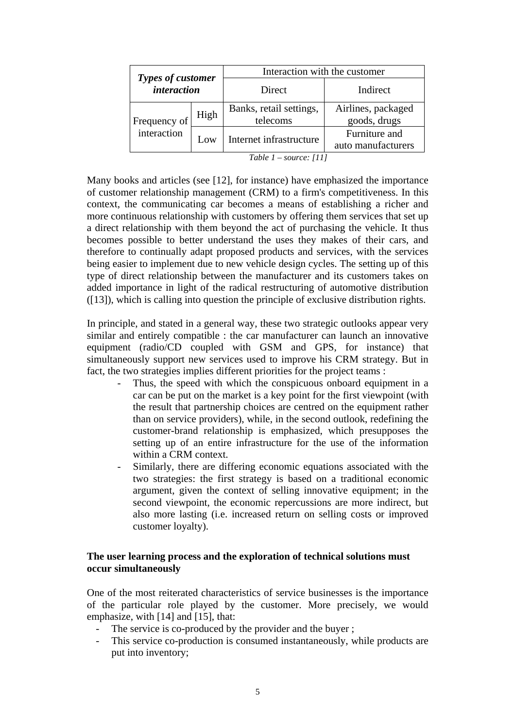| Types of customer<br><i>interaction</i> |      | Interaction with the customer       |                                     |  |
|-----------------------------------------|------|-------------------------------------|-------------------------------------|--|
|                                         |      | Direct                              | Indirect                            |  |
| Frequency of<br>interaction             | High | Banks, retail settings,<br>telecoms | Airlines, packaged<br>goods, drugs  |  |
|                                         | Low  | Internet infrastructure             | Furniture and<br>auto manufacturers |  |

*Table 1 – source: [11]*

Many books and articles (see [12], for instance) have emphasized the importance of customer relationship management (CRM) to a firm's competitiveness. In this context, the communicating car becomes a means of establishing a richer and more continuous relationship with customers by offering them services that set up a direct relationship with them beyond the act of purchasing the vehicle. It thus becomes possible to better understand the uses they makes of their cars, and therefore to continually adapt proposed products and services, with the services being easier to implement due to new vehicle design cycles. The setting up of this type of direct relationship between the manufacturer and its customers takes on added importance in light of the radical restructuring of automotive distribution ([13]), which is calling into question the principle of exclusive distribution rights.

In principle, and stated in a general way, these two strategic outlooks appear very similar and entirely compatible : the car manufacturer can launch an innovative equipment (radio/CD coupled with GSM and GPS, for instance) that simultaneously support new services used to improve his CRM strategy. But in fact, the two strategies implies different priorities for the project teams :

- Thus, the speed with which the conspicuous onboard equipment in a car can be put on the market is a key point for the first viewpoint (with the result that partnership choices are centred on the equipment rather than on service providers), while, in the second outlook, redefining the customer-brand relationship is emphasized, which presupposes the setting up of an entire infrastructure for the use of the information within a CRM context.
- Similarly, there are differing economic equations associated with the two strategies: the first strategy is based on a traditional economic argument, given the context of selling innovative equipment; in the second viewpoint, the economic repercussions are more indirect, but also more lasting (i.e. increased return on selling costs or improved customer loyalty).

### **The user learning process and the exploration of technical solutions must occur simultaneously**

One of the most reiterated characteristics of service businesses is the importance of the particular role played by the customer. More precisely, we would emphasize, with [14] and [15], that:

- The service is co-produced by the provider and the buyer;
- This service co-production is consumed instantaneously, while products are put into inventory;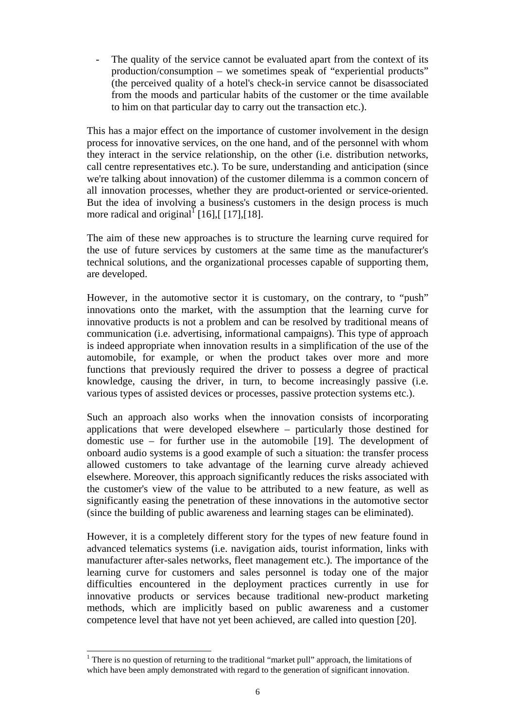The quality of the service cannot be evaluated apart from the context of its production/consumption – we sometimes speak of "experiential products" (the perceived quality of a hotel's check-in service cannot be disassociated from the moods and particular habits of the customer or the time available to him on that particular day to carry out the transaction etc.).

This has a major effect on the importance of customer involvement in the design process for innovative services, on the one hand, and of the personnel with whom they interact in the service relationship, on the other (i.e. distribution networks, call centre representatives etc.). To be sure, understanding and anticipation (since we're talking about innovation) of the customer dilemma is a common concern of all innovation processes, whether they are product-oriented or service-oriented. But the idea of involving a business's customers in the design process is much more radical and original<sup>1</sup> [16], [[17], [18].

The aim of these new approaches is to structure the learning curve required for the use of future services by customers at the same time as the manufacturer's technical solutions, and the organizational processes capable of supporting them, are developed.

However, in the automotive sector it is customary, on the contrary, to "push" innovations onto the market, with the assumption that the learning curve for innovative products is not a problem and can be resolved by traditional means of communication (i.e. advertising, informational campaigns). This type of approach is indeed appropriate when innovation results in a simplification of the use of the automobile, for example, or when the product takes over more and more functions that previously required the driver to possess a degree of practical knowledge, causing the driver, in turn, to become increasingly passive (i.e. various types of assisted devices or processes, passive protection systems etc.).

Such an approach also works when the innovation consists of incorporating applications that were developed elsewhere – particularly those destined for domestic use – for further use in the automobile [19]. The development of onboard audio systems is a good example of such a situation: the transfer process allowed customers to take advantage of the learning curve already achieved elsewhere. Moreover, this approach significantly reduces the risks associated with the customer's view of the value to be attributed to a new feature, as well as significantly easing the penetration of these innovations in the automotive sector (since the building of public awareness and learning stages can be eliminated).

However, it is a completely different story for the types of new feature found in advanced telematics systems (i.e. navigation aids, tourist information, links with manufacturer after-sales networks, fleet management etc.). The importance of the learning curve for customers and sales personnel is today one of the major difficulties encountered in the deployment practices currently in use for innovative products or services because traditional new-product marketing methods, which are implicitly based on public awareness and a customer competence level that have not yet been achieved, are called into question [20].

<span id="page-5-0"></span> $\frac{1}{1}$ <sup>1</sup> There is no question of returning to the traditional "market pull" approach, the limitations of which have been amply demonstrated with regard to the generation of significant innovation.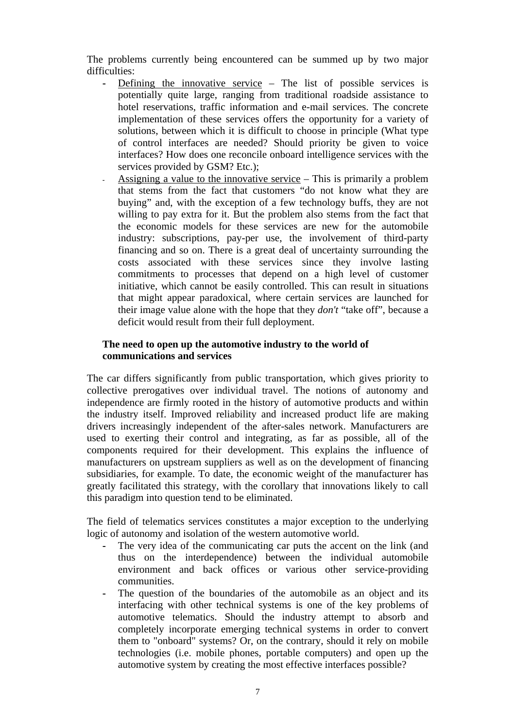The problems currently being encountered can be summed up by two major difficulties:

- Defining the innovative service The list of possible services is potentially quite large, ranging from traditional roadside assistance to hotel reservations, traffic information and e-mail services. The concrete implementation of these services offers the opportunity for a variety of solutions, between which it is difficult to choose in principle (What type of control interfaces are needed? Should priority be given to voice interfaces? How does one reconcile onboard intelligence services with the services provided by GSM? Etc.);
	- Assigning a value to the innovative service This is primarily a problem that stems from the fact that customers "do not know what they are buying" and, with the exception of a few technology buffs, they are not willing to pay extra for it. But the problem also stems from the fact that the economic models for these services are new for the automobile industry: subscriptions, pay-per use, the involvement of third-party financing and so on. There is a great deal of uncertainty surrounding the costs associated with these services since they involve lasting commitments to processes that depend on a high level of customer initiative, which cannot be easily controlled. This can result in situations that might appear paradoxical, where certain services are launched for their image value alone with the hope that they *don't* "take off", because a deficit would result from their full deployment.

### **The need to open up the automotive industry to the world of communications and services**

The car differs significantly from public transportation, which gives priority to collective prerogatives over individual travel. The notions of autonomy and independence are firmly rooted in the history of automotive products and within the industry itself. Improved reliability and increased product life are making drivers increasingly independent of the after-sales network. Manufacturers are used to exerting their control and integrating, as far as possible, all of the components required for their development. This explains the influence of manufacturers on upstream suppliers as well as on the development of financing subsidiaries, for example. To date, the economic weight of the manufacturer has greatly facilitated this strategy, with the corollary that innovations likely to call this paradigm into question tend to be eliminated.

The field of telematics services constitutes a major exception to the underlying logic of autonomy and isolation of the western automotive world.

- The very idea of the communicating car puts the accent on the link (and thus on the interdependence) between the individual automobile environment and back offices or various other service-providing communities.
- The question of the boundaries of the automobile as an object and its interfacing with other technical systems is one of the key problems of automotive telematics. Should the industry attempt to absorb and completely incorporate emerging technical systems in order to convert them to "onboard" systems? Or, on the contrary, should it rely on mobile technologies (i.e. mobile phones, portable computers) and open up the automotive system by creating the most effective interfaces possible?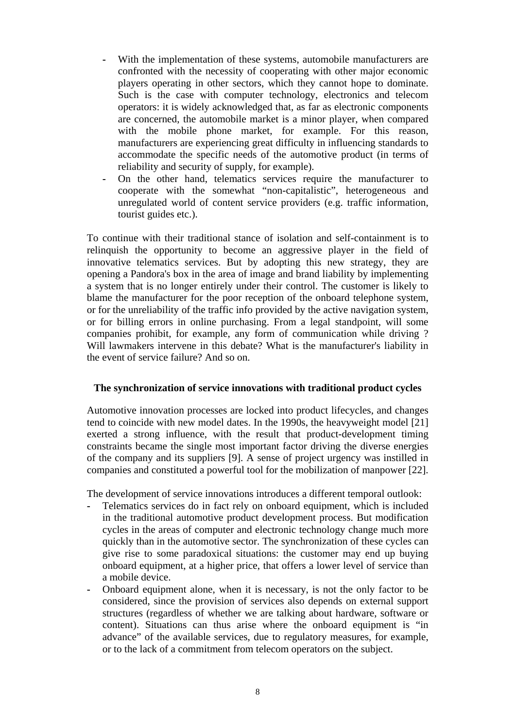- With the implementation of these systems, automobile manufacturers are confronted with the necessity of cooperating with other major economic players operating in other sectors, which they cannot hope to dominate. Such is the case with computer technology, electronics and telecom operators: it is widely acknowledged that, as far as electronic components are concerned, the automobile market is a minor player, when compared with the mobile phone market, for example. For this reason, manufacturers are experiencing great difficulty in influencing standards to accommodate the specific needs of the automotive product (in terms of reliability and security of supply, for example).
- On the other hand, telematics services require the manufacturer to cooperate with the somewhat "non-capitalistic", heterogeneous and unregulated world of content service providers (e.g. traffic information, tourist guides etc.).

To continue with their traditional stance of isolation and self-containment is to relinquish the opportunity to become an aggressive player in the field of innovative telematics services. But by adopting this new strategy, they are opening a Pandora's box in the area of image and brand liability by implementing a system that is no longer entirely under their control. The customer is likely to blame the manufacturer for the poor reception of the onboard telephone system, or for the unreliability of the traffic info provided by the active navigation system, or for billing errors in online purchasing. From a legal standpoint, will some companies prohibit, for example, any form of communication while driving ? Will lawmakers intervene in this debate? What is the manufacturer's liability in the event of service failure? And so on.

#### **The synchronization of service innovations with traditional product cycles**

Automotive innovation processes are locked into product lifecycles, and changes tend to coincide with new model dates. In the 1990s, the heavyweight model [21] exerted a strong influence, with the result that product-development timing constraints became the single most important factor driving the diverse energies of the company and its suppliers [9]. A sense of project urgency was instilled in companies and constituted a powerful tool for the mobilization of manpower [22].

The development of service innovations introduces a different temporal outlook:

- Telematics services do in fact rely on onboard equipment, which is included in the traditional automotive product development process. But modification cycles in the areas of computer and electronic technology change much more quickly than in the automotive sector. The synchronization of these cycles can give rise to some paradoxical situations: the customer may end up buying onboard equipment, at a higher price, that offers a lower level of service than a mobile device.
- Onboard equipment alone, when it is necessary, is not the only factor to be considered, since the provision of services also depends on external support structures (regardless of whether we are talking about hardware, software or content). Situations can thus arise where the onboard equipment is "in advance" of the available services, due to regulatory measures, for example, or to the lack of a commitment from telecom operators on the subject.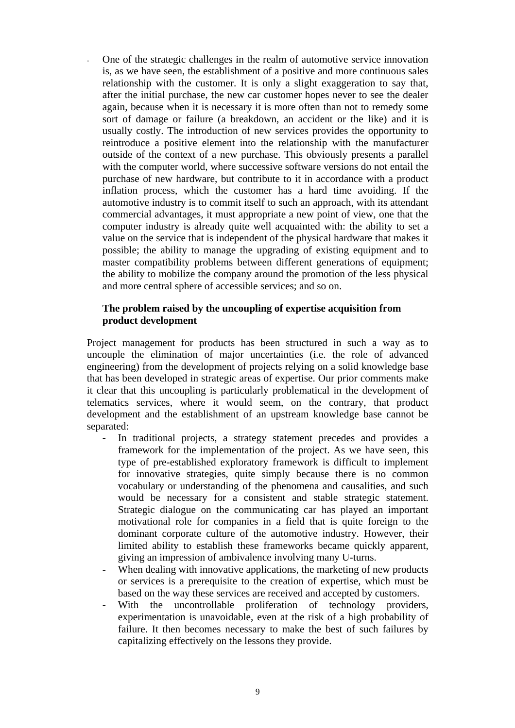**-** One of the strategic challenges in the realm of automotive service innovation is, as we have seen, the establishment of a positive and more continuous sales relationship with the customer. It is only a slight exaggeration to say that, after the initial purchase, the new car customer hopes never to see the dealer again, because when it is necessary it is more often than not to remedy some sort of damage or failure (a breakdown, an accident or the like) and it is usually costly. The introduction of new services provides the opportunity to reintroduce a positive element into the relationship with the manufacturer outside of the context of a new purchase. This obviously presents a parallel with the computer world, where successive software versions do not entail the purchase of new hardware, but contribute to it in accordance with a product inflation process, which the customer has a hard time avoiding. If the automotive industry is to commit itself to such an approach, with its attendant commercial advantages, it must appropriate a new point of view, one that the computer industry is already quite well acquainted with: the ability to set a value on the service that is independent of the physical hardware that makes it possible; the ability to manage the upgrading of existing equipment and to master compatibility problems between different generations of equipment; the ability to mobilize the company around the promotion of the less physical and more central sphere of accessible services; and so on.

#### **The problem raised by the uncoupling of expertise acquisition from product development**

Project management for products has been structured in such a way as to uncouple the elimination of major uncertainties (i.e. the role of advanced engineering) from the development of projects relying on a solid knowledge base that has been developed in strategic areas of expertise. Our prior comments make it clear that this uncoupling is particularly problematical in the development of telematics services, where it would seem, on the contrary, that product development and the establishment of an upstream knowledge base cannot be separated:

- In traditional projects, a strategy statement precedes and provides a framework for the implementation of the project. As we have seen, this type of pre-established exploratory framework is difficult to implement for innovative strategies, quite simply because there is no common vocabulary or understanding of the phenomena and causalities, and such would be necessary for a consistent and stable strategic statement. Strategic dialogue on the communicating car has played an important motivational role for companies in a field that is quite foreign to the dominant corporate culture of the automotive industry. However, their limited ability to establish these frameworks became quickly apparent, giving an impression of ambivalence involving many U-turns.
- When dealing with innovative applications, the marketing of new products or services is a prerequisite to the creation of expertise, which must be based on the way these services are received and accepted by customers.
- With the uncontrollable proliferation of technology providers, experimentation is unavoidable, even at the risk of a high probability of failure. It then becomes necessary to make the best of such failures by capitalizing effectively on the lessons they provide.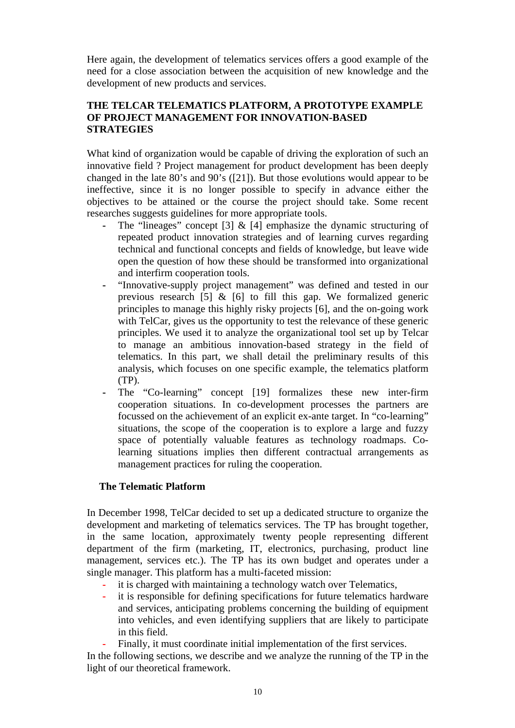Here again, the development of telematics services offers a good example of the need for a close association between the acquisition of new knowledge and the development of new products and services.

### **THE TELCAR TELEMATICS PLATFORM, A PROTOTYPE EXAMPLE OF PROJECT MANAGEMENT FOR INNOVATION-BASED STRATEGIES**

What kind of organization would be capable of driving the exploration of such an innovative field ? Project management for product development has been deeply changed in the late 80's and 90's ([21]). But those evolutions would appear to be ineffective, since it is no longer possible to specify in advance either the objectives to be attained or the course the project should take. Some recent researches suggests guidelines for more appropriate tools.

- The "lineages" concept [3] & [4] emphasize the dynamic structuring of repeated product innovation strategies and of learning curves regarding technical and functional concepts and fields of knowledge, but leave wide open the question of how these should be transformed into organizational and interfirm cooperation tools.
- "Innovative-supply project management" was defined and tested in our previous research [5]  $\&$  [6] to fill this gap. We formalized generic principles to manage this highly risky projects [6], and the on-going work with TelCar, gives us the opportunity to test the relevance of these generic principles. We used it to analyze the organizational tool set up by Telcar to manage an ambitious innovation-based strategy in the field of telematics. In this part, we shall detail the preliminary results of this analysis, which focuses on one specific example, the telematics platform (TP).
- The "Co-learning" concept [19] formalizes these new inter-firm cooperation situations. In co-development processes the partners are focussed on the achievement of an explicit ex-ante target. In "co-learning" situations, the scope of the cooperation is to explore a large and fuzzy space of potentially valuable features as technology roadmaps. Colearning situations implies then different contractual arrangements as management practices for ruling the cooperation.

### **The Telematic Platform**

In December 1998, TelCar decided to set up a dedicated structure to organize the development and marketing of telematics services. The TP has brought together, in the same location, approximately twenty people representing different department of the firm (marketing, IT, electronics, purchasing, product line management, services etc.). The TP has its own budget and operates under a single manager. This platform has a multi-faceted mission:

- it is charged with maintaining a technology watch over Telematics,
- it is responsible for defining specifications for future telematics hardware and services, anticipating problems concerning the building of equipment into vehicles, and even identifying suppliers that are likely to participate in this field.
	- Finally, it must coordinate initial implementation of the first services.

In the following sections, we describe and we analyze the running of the TP in the light of our theoretical framework.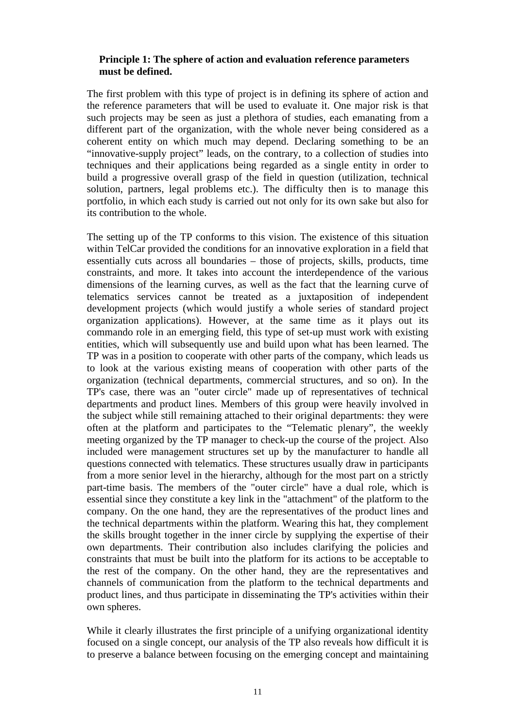### **Principle 1: The sphere of action and evaluation reference parameters must be defined.**

The first problem with this type of project is in defining its sphere of action and the reference parameters that will be used to evaluate it. One major risk is that such projects may be seen as just a plethora of studies, each emanating from a different part of the organization, with the whole never being considered as a coherent entity on which much may depend. Declaring something to be an "innovative-supply project" leads, on the contrary, to a collection of studies into techniques and their applications being regarded as a single entity in order to build a progressive overall grasp of the field in question (utilization, technical solution, partners, legal problems etc.). The difficulty then is to manage this portfolio, in which each study is carried out not only for its own sake but also for its contribution to the whole.

The setting up of the TP conforms to this vision. The existence of this situation within TelCar provided the conditions for an innovative exploration in a field that essentially cuts across all boundaries – those of projects, skills, products, time constraints, and more. It takes into account the interdependence of the various dimensions of the learning curves, as well as the fact that the learning curve of telematics services cannot be treated as a juxtaposition of independent development projects (which would justify a whole series of standard project organization applications). However, at the same time as it plays out its commando role in an emerging field, this type of set-up must work with existing entities, which will subsequently use and build upon what has been learned. The TP was in a position to cooperate with other parts of the company, which leads us to look at the various existing means of cooperation with other parts of the organization (technical departments, commercial structures, and so on). In the TP's case, there was an "outer circle" made up of representatives of technical departments and product lines. Members of this group were heavily involved in the subject while still remaining attached to their original departments: they were often at the platform and participates to the "Telematic plenary", the weekly meeting organized by the TP manager to check-up the course of the project. Also included were management structures set up by the manufacturer to handle all questions connected with telematics. These structures usually draw in participants from a more senior level in the hierarchy, although for the most part on a strictly part-time basis. The members of the "outer circle" have a dual role, which is essential since they constitute a key link in the "attachment" of the platform to the company. On the one hand, they are the representatives of the product lines and the technical departments within the platform. Wearing this hat, they complement the skills brought together in the inner circle by supplying the expertise of their own departments. Their contribution also includes clarifying the policies and constraints that must be built into the platform for its actions to be acceptable to the rest of the company. On the other hand, they are the representatives and channels of communication from the platform to the technical departments and product lines, and thus participate in disseminating the TP's activities within their own spheres.

While it clearly illustrates the first principle of a unifying organizational identity focused on a single concept, our analysis of the TP also reveals how difficult it is to preserve a balance between focusing on the emerging concept and maintaining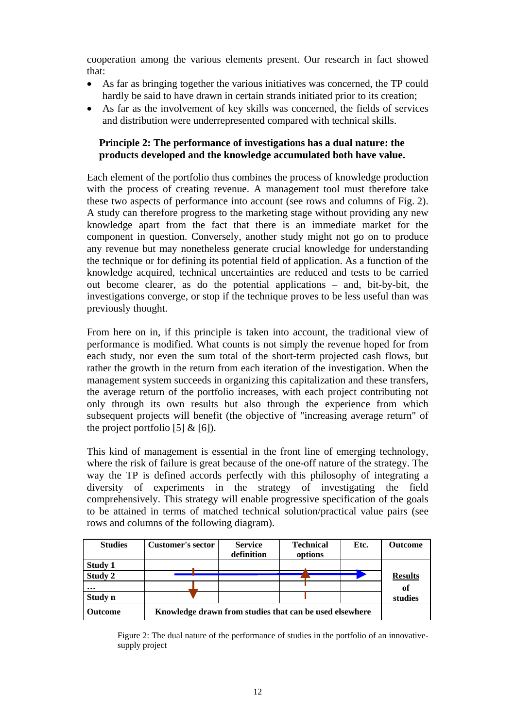cooperation among the various elements present. Our research in fact showed that:

- As far as bringing together the various initiatives was concerned, the TP could hardly be said to have drawn in certain strands initiated prior to its creation;
- As far as the involvement of key skills was concerned, the fields of services and distribution were underrepresented compared with technical skills.

### **Principle 2: The performance of investigations has a dual nature: the products developed and the knowledge accumulated both have value.**

Each element of the portfolio thus combines the process of knowledge production with the process of creating revenue. A management tool must therefore take these two aspects of performance into account (see rows and columns of Fig. 2). A study can therefore progress to the marketing stage without providing any new knowledge apart from the fact that there is an immediate market for the component in question. Conversely, another study might not go on to produce any revenue but may nonetheless generate crucial knowledge for understanding the technique or for defining its potential field of application. As a function of the knowledge acquired, technical uncertainties are reduced and tests to be carried out become clearer, as do the potential applications – and, bit-by-bit, the investigations converge, or stop if the technique proves to be less useful than was previously thought.

From here on in, if this principle is taken into account, the traditional view of performance is modified. What counts is not simply the revenue hoped for from each study, nor even the sum total of the short-term projected cash flows, but rather the growth in the return from each iteration of the investigation. When the management system succeeds in organizing this capitalization and these transfers, the average return of the portfolio increases, with each project contributing not only through its own results but also through the experience from which subsequent projects will benefit (the objective of "increasing average return" of the project portfolio  $[5]$  &  $[6]$ ).

This kind of management is essential in the front line of emerging technology, where the risk of failure is great because of the one-off nature of the strategy. The way the TP is defined accords perfectly with this philosophy of integrating a diversity of experiments in the strategy of investigating the field comprehensively. This strategy will enable progressive specification of the goals to be attained in terms of matched technical solution/practical value pairs (see rows and columns of the following diagram).

| <b>Studies</b> | <b>Customer's sector</b>                                | <b>Service</b><br>definition | <b>Technical</b><br>options | Etc. | <b>Outcome</b> |
|----------------|---------------------------------------------------------|------------------------------|-----------------------------|------|----------------|
| Study 1        |                                                         |                              |                             |      |                |
| Study 2        |                                                         |                              |                             |      | <b>Results</b> |
| $\cdots$       |                                                         |                              |                             |      | of             |
| Study n        |                                                         |                              |                             |      | studies        |
| <b>Outcome</b> | Knowledge drawn from studies that can be used elsewhere |                              |                             |      |                |

Figure 2: The dual nature of the performance of studies in the portfolio of an innovativesupply project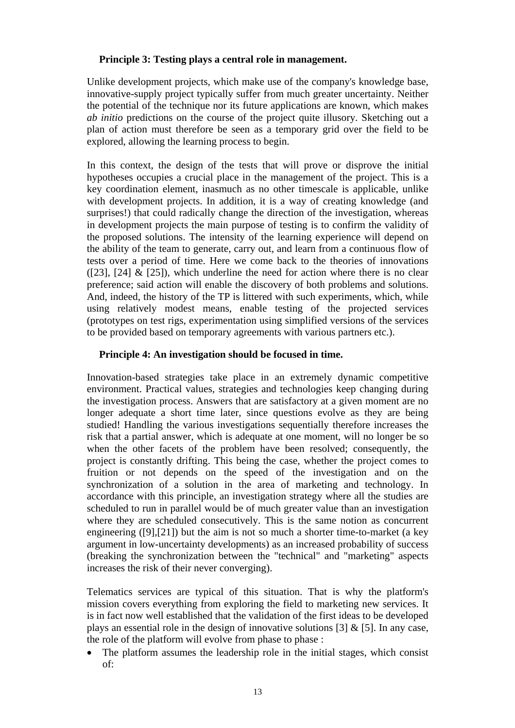### **Principle 3: Testing plays a central role in management.**

Unlike development projects, which make use of the company's knowledge base, innovative-supply project typically suffer from much greater uncertainty. Neither the potential of the technique nor its future applications are known, which makes *ab initio* predictions on the course of the project quite illusory. Sketching out a plan of action must therefore be seen as a temporary grid over the field to be explored, allowing the learning process to begin.

In this context, the design of the tests that will prove or disprove the initial hypotheses occupies a crucial place in the management of the project. This is a key coordination element, inasmuch as no other timescale is applicable, unlike with development projects. In addition, it is a way of creating knowledge (and surprises!) that could radically change the direction of the investigation, whereas in development projects the main purpose of testing is to confirm the validity of the proposed solutions. The intensity of the learning experience will depend on the ability of the team to generate, carry out, and learn from a continuous flow of tests over a period of time. Here we come back to the theories of innovations ( $[23]$ ,  $[24]$  &  $[25]$ ), which underline the need for action where there is no clear preference; said action will enable the discovery of both problems and solutions. And, indeed, the history of the TP is littered with such experiments, which, while using relatively modest means, enable testing of the projected services (prototypes on test rigs, experimentation using simplified versions of the services to be provided based on temporary agreements with various partners etc.).

### **Principle 4: An investigation should be focused in time.**

Innovation-based strategies take place in an extremely dynamic competitive environment. Practical values, strategies and technologies keep changing during the investigation process. Answers that are satisfactory at a given moment are no longer adequate a short time later, since questions evolve as they are being studied! Handling the various investigations sequentially therefore increases the risk that a partial answer, which is adequate at one moment, will no longer be so when the other facets of the problem have been resolved; consequently, the project is constantly drifting. This being the case, whether the project comes to fruition or not depends on the speed of the investigation and on the synchronization of a solution in the area of marketing and technology. In accordance with this principle, an investigation strategy where all the studies are scheduled to run in parallel would be of much greater value than an investigation where they are scheduled consecutively. This is the same notion as concurrent engineering ([9],[21]) but the aim is not so much a shorter time-to-market (a key argument in low-uncertainty developments) as an increased probability of success (breaking the synchronization between the "technical" and "marketing" aspects increases the risk of their never converging).

Telematics services are typical of this situation. That is why the platform's mission covers everything from exploring the field to marketing new services. It is in fact now well established that the validation of the first ideas to be developed plays an essential role in the design of innovative solutions [3]  $\&$  [5]. In any case, the role of the platform will evolve from phase to phase :

• The platform assumes the leadership role in the initial stages, which consist of: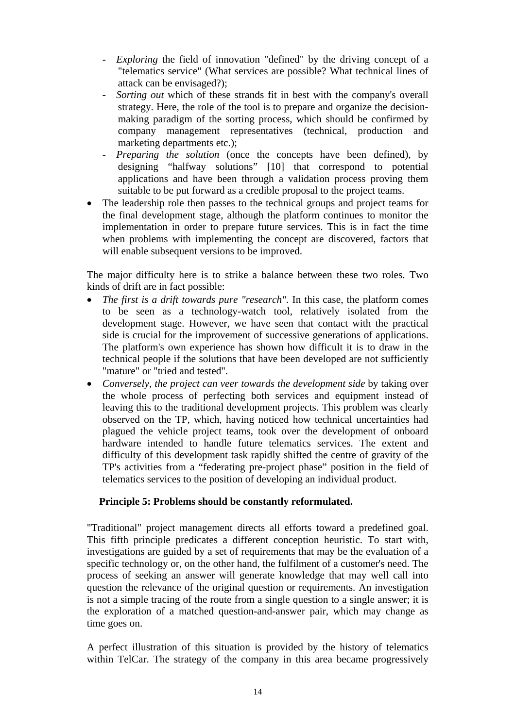- *Exploring* the field of innovation "defined" by the driving concept of a "telematics service" (What services are possible? What technical lines of attack can be envisaged?);
- *Sorting out* which of these strands fit in best with the company's overall strategy. Here, the role of the tool is to prepare and organize the decisionmaking paradigm of the sorting process, which should be confirmed by company management representatives (technical, production and marketing departments etc.);
- Preparing the solution (once the concepts have been defined), by designing "halfway solutions" [10] that correspond to potential applications and have been through a validation process proving them suitable to be put forward as a credible proposal to the project teams.
- The leadership role then passes to the technical groups and project teams for the final development stage, although the platform continues to monitor the implementation in order to prepare future services. This is in fact the time when problems with implementing the concept are discovered, factors that will enable subsequent versions to be improved.

The major difficulty here is to strike a balance between these two roles. Two kinds of drift are in fact possible:

- The first is a drift towards pure "research". In this case, the platform comes to be seen as a technology-watch tool, relatively isolated from the development stage. However, we have seen that contact with the practical side is crucial for the improvement of successive generations of applications. The platform's own experience has shown how difficult it is to draw in the technical people if the solutions that have been developed are not sufficiently "mature" or "tried and tested".
- *Conversely, the project can veer towards the development side* by taking over the whole process of perfecting both services and equipment instead of leaving this to the traditional development projects. This problem was clearly observed on the TP, which, having noticed how technical uncertainties had plagued the vehicle project teams, took over the development of onboard hardware intended to handle future telematics services. The extent and difficulty of this development task rapidly shifted the centre of gravity of the TP's activities from a "federating pre-project phase" position in the field of telematics services to the position of developing an individual product.

## **Principle 5: Problems should be constantly reformulated.**

"Traditional" project management directs all efforts toward a predefined goal. This fifth principle predicates a different conception heuristic. To start with, investigations are guided by a set of requirements that may be the evaluation of a specific technology or, on the other hand, the fulfilment of a customer's need. The process of seeking an answer will generate knowledge that may well call into question the relevance of the original question or requirements. An investigation is not a simple tracing of the route from a single question to a single answer; it is the exploration of a matched question-and-answer pair, which may change as time goes on.

A perfect illustration of this situation is provided by the history of telematics within TelCar. The strategy of the company in this area became progressively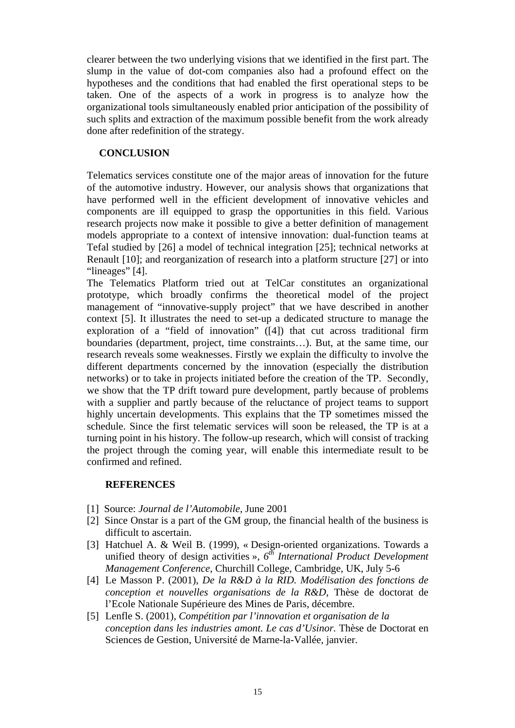clearer between the two underlying visions that we identified in the first part. The slump in the value of dot-com companies also had a profound effect on the hypotheses and the conditions that had enabled the first operational steps to be taken. One of the aspects of a work in progress is to analyze how the organizational tools simultaneously enabled prior anticipation of the possibility of such splits and extraction of the maximum possible benefit from the work already done after redefinition of the strategy.

### **CONCLUSION**

Telematics services constitute one of the major areas of innovation for the future of the automotive industry. However, our analysis shows that organizations that have performed well in the efficient development of innovative vehicles and components are ill equipped to grasp the opportunities in this field. Various research projects now make it possible to give a better definition of management models appropriate to a context of intensive innovation: dual-function teams at Tefal studied by [26] a model of technical integration [25]; technical networks at Renault [10]; and reorganization of research into a platform structure [27] or into "lineages" [4].

The Telematics Platform tried out at TelCar constitutes an organizational prototype, which broadly confirms the theoretical model of the project management of "innovative-supply project" that we have described in another context [5]. It illustrates the need to set-up a dedicated structure to manage the exploration of a "field of innovation" ([4]) that cut across traditional firm boundaries (department, project, time constraints…). But, at the same time, our research reveals some weaknesses. Firstly we explain the difficulty to involve the different departments concerned by the innovation (especially the distribution networks) or to take in projects initiated before the creation of the TP. Secondly, we show that the TP drift toward pure development, partly because of problems with a supplier and partly because of the reluctance of project teams to support highly uncertain developments. This explains that the TP sometimes missed the schedule. Since the first telematic services will soon be released, the TP is at a turning point in his history. The follow-up research, which will consist of tracking the project through the coming year, will enable this intermediate result to be confirmed and refined.

### **REFERENCES**

- [1] Source: *Journal de l'Automobile*, June 2001
- [2] Since Onstar is a part of the GM group, the financial health of the business is difficult to ascertain.
- [3] Hatchuel A. & Weil B. (1999), « Design-oriented organizations. Towards a unified theory of design activities »,  $6^{th}$  International Product Development *Management Conference*, Churchill College, Cambridge, UK, July 5-6
- [4] Le Masson P. (2001), *De la R&D à la RID. Modélisation des fonctions de conception et nouvelles organisations de la R&D*, Thèse de doctorat de l'Ecole Nationale Supérieure des Mines de Paris, décembre.
- [5] Lenfle S. (2001), *Compétition par l'innovation et organisation de la conception dans les industries amont. Le cas d'Usinor.* Thèse de Doctorat en Sciences de Gestion, Université de Marne-la-Vallée, janvier.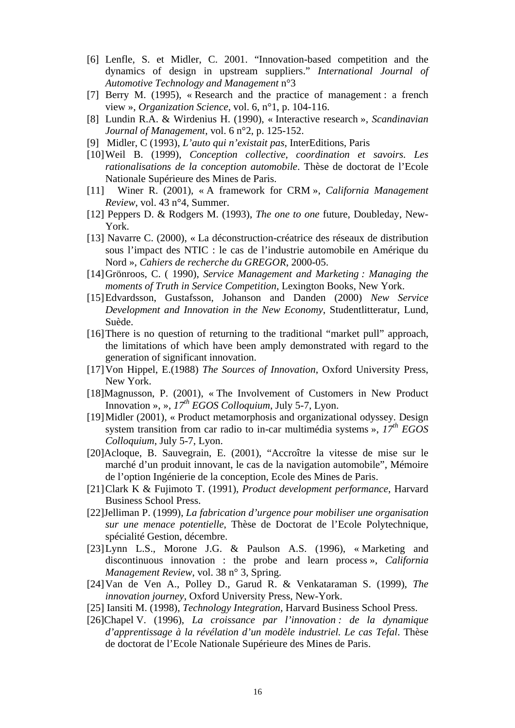- [6] Lenfle, S. et Midler, C. 2001. "Innovation-based competition and the dynamics of design in upstream suppliers." *International Journal of Automotive Technology and Management* n°3
- [7] Berry M. (1995), « Research and the practice of management : a french view », *Organization Science*, vol. 6, n°1, p. 104-116.
- [8] Lundin R.A. & Wirdenius H. (1990), « Interactive research », *Scandinavian Journal of Management*, vol. 6 n°2, p. 125-152.
- [9] Midler, C (1993), *L'auto qui n'existait pas*, InterEditions, Paris
- [10] Weil B. (1999), *Conception collective, coordination et savoirs. Les rationalisations de la conception automobile*. Thèse de doctorat de l'Ecole Nationale Supérieure des Mines de Paris.
- [11] Winer R. (2001), « A framework for CRM », *California Management Review*, vol. 43 n°4, Summer.
- [12] Peppers D. & Rodgers M. (1993), *The one to one* future, Doubleday, New-York.
- [13] Navarre C. (2000), « La déconstruction-créatrice des réseaux de distribution sous l'impact des NTIC : le cas de l'industrie automobile en Amérique du Nord », *Cahiers de recherche du GREGOR*, 2000-05.
- [14] Grönroos, C. ( 1990), *Service Management and Marketing : Managing the moments of Truth in Service Competition*, Lexington Books, New York.
- [15] Edvardsson, Gustafsson, Johanson and Danden (2000) *New Service Development and Innovation in the New Economy*, Studentlitteratur, Lund, Suède.
- [16] There is no question of returning to the traditional "market pull" approach, the limitations of which have been amply demonstrated with regard to the generation of significant innovation.
- [17] Von Hippel, E.(1988) *The Sources of Innovation*, Oxford University Press, New York.
- [18]Magnusson, P. (2001), « The Involvement of Customers in New Product Innovation », », *17th EGOS Colloquium*, July 5-7, Lyon.
- [19] Midler (2001), « Product metamorphosis and organizational odyssey. Design system transition from car radio to in-car multimédia systems », *17th EGOS Colloquium*, July 5-7, Lyon.
- [20]Acloque, B. Sauvegrain, E. (2001), "Accroître la vitesse de mise sur le marché d'un produit innovant, le cas de la navigation automobile", Mémoire de l'option Ingénierie de la conception, Ecole des Mines de Paris.
- [21] Clark K & Fujimoto T. (1991), *Product development performance*, Harvard Business School Press.
- [22]Jelliman P. (1999), *La fabrication d'urgence pour mobiliser une organisation sur une menace potentielle*, Thèse de Doctorat de l'Ecole Polytechnique, spécialité Gestion, décembre.
- [23] Lynn L.S., Morone J.G. & Paulson A.S. (1996), « Marketing and discontinuous innovation : the probe and learn process », *California Management Review*, vol. 38 n° 3, Spring.
- [24] Van de Ven A., Polley D., Garud R. & Venkataraman S. (1999), *The innovation journey*, Oxford University Press, New-York.
- [25] Iansiti M. (1998), *Technology Integration,* Harvard Business School Press.
- [26]Chapel V. (1996), *La croissance par l'innovation : de la dynamique d'apprentissage à la révélation d'un modèle industriel. Le cas Tefal*. Thèse de doctorat de l'Ecole Nationale Supérieure des Mines de Paris.